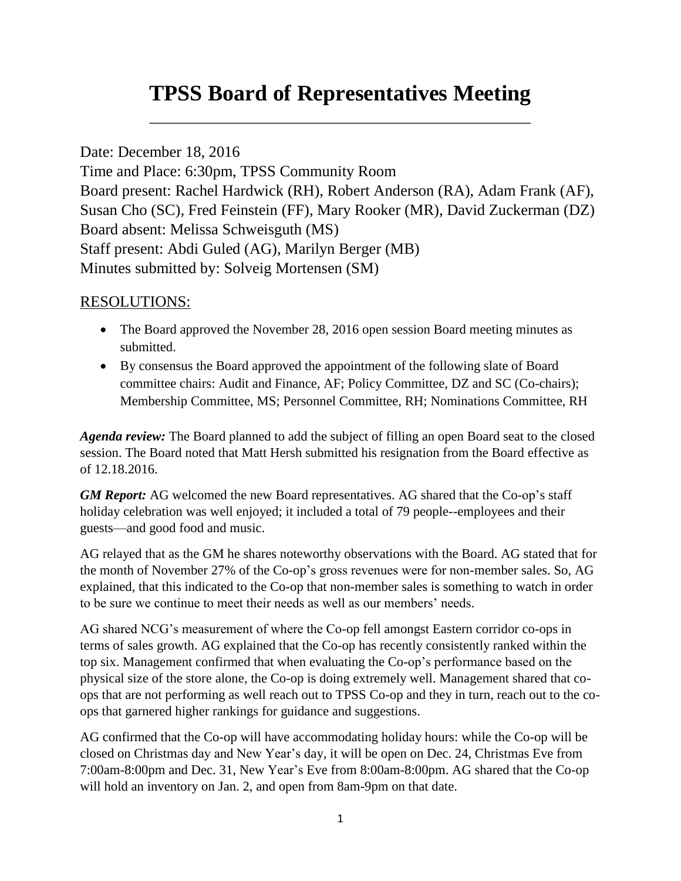## **TPSS Board of Representatives Meeting**

\_\_\_\_\_\_\_\_\_\_\_\_\_\_\_\_\_\_\_\_\_\_\_\_\_\_\_\_\_\_\_\_\_\_\_\_\_\_\_\_\_\_\_\_\_\_\_\_\_

## Date: December 18, 2016

Time and Place: 6:30pm, TPSS Community Room Board present: Rachel Hardwick (RH), Robert Anderson (RA), Adam Frank (AF), Susan Cho (SC), Fred Feinstein (FF), Mary Rooker (MR), David Zuckerman (DZ) Board absent: Melissa Schweisguth (MS) Staff present: Abdi Guled (AG), Marilyn Berger (MB) Minutes submitted by: Solveig Mortensen (SM)

## RESOLUTIONS:

- The Board approved the November 28, 2016 open session Board meeting minutes as submitted.
- By consensus the Board approved the appointment of the following slate of Board committee chairs: Audit and Finance, AF; Policy Committee, DZ and SC (Co-chairs); Membership Committee, MS; Personnel Committee, RH; Nominations Committee, RH

*Agenda review:* The Board planned to add the subject of filling an open Board seat to the closed session. The Board noted that Matt Hersh submitted his resignation from the Board effective as of 12.18.2016.

*GM Report:* AG welcomed the new Board representatives. AG shared that the Co-op's staff holiday celebration was well enjoyed; it included a total of 79 people--employees and their guests—and good food and music.

AG relayed that as the GM he shares noteworthy observations with the Board. AG stated that for the month of November 27% of the Co-op's gross revenues were for non-member sales. So, AG explained, that this indicated to the Co-op that non-member sales is something to watch in order to be sure we continue to meet their needs as well as our members' needs.

AG shared NCG's measurement of where the Co-op fell amongst Eastern corridor co-ops in terms of sales growth. AG explained that the Co-op has recently consistently ranked within the top six. Management confirmed that when evaluating the Co-op's performance based on the physical size of the store alone, the Co-op is doing extremely well. Management shared that coops that are not performing as well reach out to TPSS Co-op and they in turn, reach out to the coops that garnered higher rankings for guidance and suggestions.

AG confirmed that the Co-op will have accommodating holiday hours: while the Co-op will be closed on Christmas day and New Year's day, it will be open on Dec. 24, Christmas Eve from 7:00am-8:00pm and Dec. 31, New Year's Eve from 8:00am-8:00pm. AG shared that the Co-op will hold an inventory on Jan. 2, and open from 8am-9pm on that date.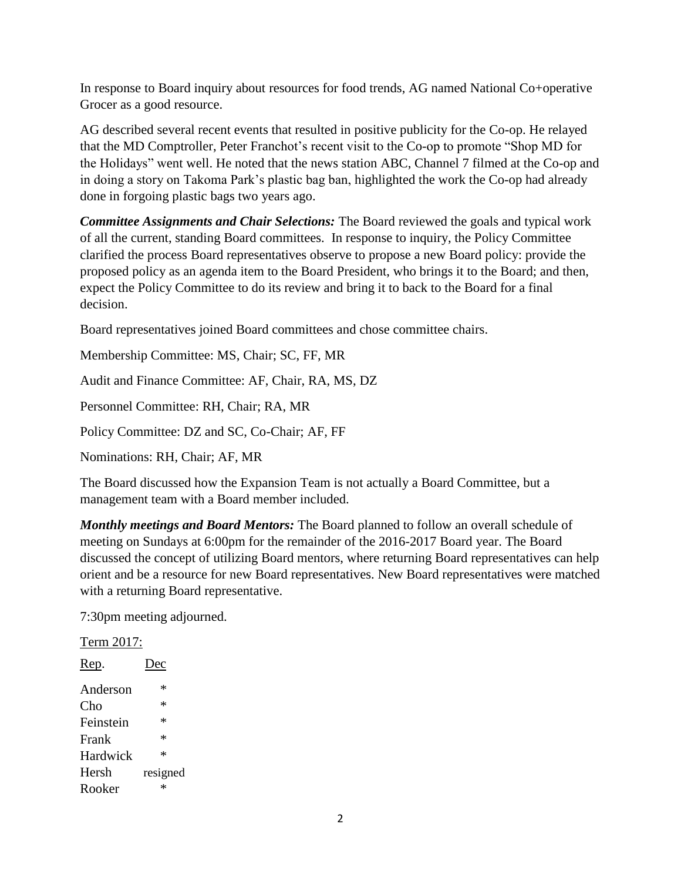In response to Board inquiry about resources for food trends, AG named National Co+operative Grocer as a good resource.

AG described several recent events that resulted in positive publicity for the Co-op. He relayed that the MD Comptroller, Peter Franchot's recent visit to the Co-op to promote "Shop MD for the Holidays" went well. He noted that the news station ABC, Channel 7 filmed at the Co-op and in doing a story on Takoma Park's plastic bag ban, highlighted the work the Co-op had already done in forgoing plastic bags two years ago.

*Committee Assignments and Chair Selections:* The Board reviewed the goals and typical work of all the current, standing Board committees. In response to inquiry, the Policy Committee clarified the process Board representatives observe to propose a new Board policy: provide the proposed policy as an agenda item to the Board President, who brings it to the Board; and then, expect the Policy Committee to do its review and bring it to back to the Board for a final decision.

Board representatives joined Board committees and chose committee chairs.

Membership Committee: MS, Chair; SC, FF, MR

Audit and Finance Committee: AF, Chair, RA, MS, DZ

Personnel Committee: RH, Chair; RA, MR

Policy Committee: DZ and SC, Co-Chair; AF, FF

Nominations: RH, Chair; AF, MR

The Board discussed how the Expansion Team is not actually a Board Committee, but a management team with a Board member included.

*Monthly meetings and Board Mentors:* The Board planned to follow an overall schedule of meeting on Sundays at 6:00pm for the remainder of the 2016-2017 Board year. The Board discussed the concept of utilizing Board mentors, where returning Board representatives can help orient and be a resource for new Board representatives. New Board representatives were matched with a returning Board representative.

7:30pm meeting adjourned.

Term 2017:

| )ec      |
|----------|
| *        |
| *        |
| $\ast$   |
| $\ast$   |
| *        |
| resigned |
| ж        |
|          |